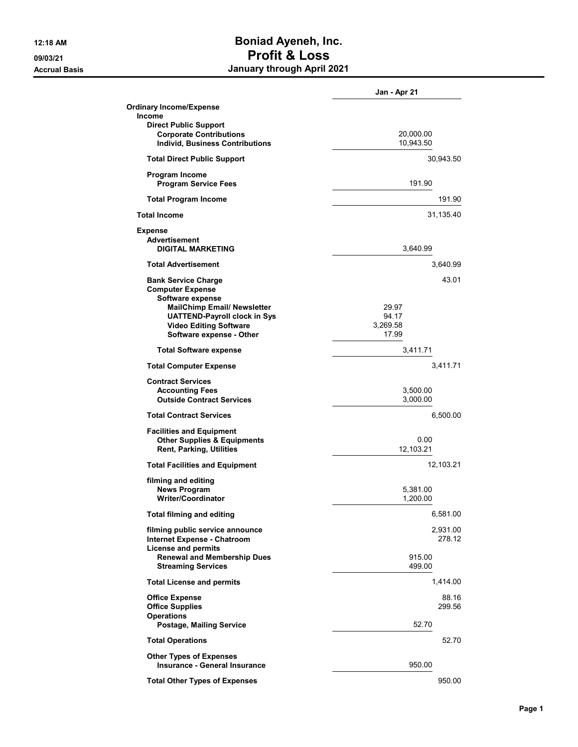## 12:18 AM **Boniad Ayeneh, Inc.** 09/03/21 Profit & Loss Accrual Basis January through April 2021

|                                                                        | Jan - Apr 21 |
|------------------------------------------------------------------------|--------------|
| <b>Ordinary Income/Expense</b>                                         |              |
| <b>Income</b><br><b>Direct Public Support</b>                          |              |
| <b>Corporate Contributions</b>                                         | 20,000.00    |
| <b>Individ, Business Contributions</b>                                 | 10,943.50    |
| <b>Total Direct Public Support</b>                                     | 30,943.50    |
| <b>Program Income</b><br><b>Program Service Fees</b>                   | 191.90       |
| <b>Total Program Income</b>                                            | 191.90       |
| <b>Total Income</b>                                                    | 31,135.40    |
| <b>Expense</b>                                                         |              |
| Advertisement                                                          |              |
| <b>DIGITAL MARKETING</b>                                               | 3,640.99     |
| <b>Total Advertisement</b>                                             | 3,640.99     |
| <b>Bank Service Charge</b>                                             | 43.01        |
| <b>Computer Expense</b><br>Software expense                            |              |
| <b>MailChimp Email/ Newsletter</b>                                     | 29.97        |
| <b>UATTEND-Payroll clock in Sys</b>                                    | 94.17        |
| <b>Video Editing Software</b>                                          | 3,269.58     |
| Software expense - Other                                               | 17.99        |
| <b>Total Software expense</b>                                          | 3,411.71     |
| <b>Total Computer Expense</b>                                          | 3,411.71     |
| <b>Contract Services</b>                                               |              |
| <b>Accounting Fees</b>                                                 | 3,500.00     |
| <b>Outside Contract Services</b>                                       | 3,000.00     |
| <b>Total Contract Services</b>                                         | 6,500.00     |
| <b>Facilities and Equipment</b>                                        |              |
| <b>Other Supplies &amp; Equipments</b>                                 | 0.00         |
| <b>Rent, Parking, Utilities</b>                                        | 12,103.21    |
| <b>Total Facilities and Equipment</b>                                  | 12,103.21    |
| filming and editing                                                    |              |
| <b>News Program</b>                                                    | 5,381.00     |
| <b>Writer/Coordinator</b>                                              | 1.200.00     |
| <b>Total filming and editing</b>                                       | 6,581.00     |
| filming public service announce                                        | 2,931.00     |
| <b>Internet Expense - Chatroom</b>                                     | 278.12       |
| <b>License and permits</b><br><b>Renewal and Membership Dues</b>       | 915.00       |
| <b>Streaming Services</b>                                              | 499.00       |
| <b>Total License and permits</b>                                       | 1,414.00     |
| <b>Office Expense</b>                                                  | 88.16        |
| <b>Office Supplies</b>                                                 | 299.56       |
| <b>Operations</b>                                                      |              |
| <b>Postage, Mailing Service</b>                                        | 52.70        |
| <b>Total Operations</b>                                                | 52.70        |
| <b>Other Types of Expenses</b><br><b>Insurance - General Insurance</b> | 950.00       |
| <b>Total Other Types of Expenses</b>                                   | 950.00       |
|                                                                        |              |